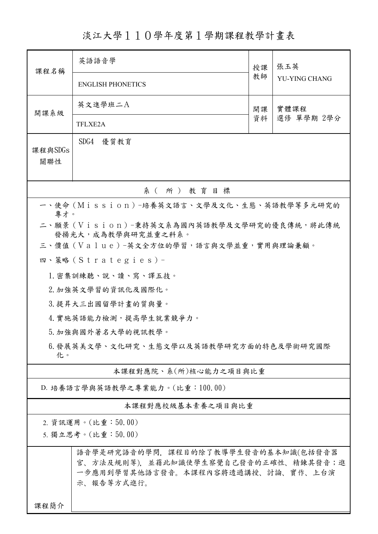淡江大學110學年度第1學期課程教學計畫表

| 課程名稱                                                                   | 英語語音學                                                                                                                            | 授課         | 張玉英<br>YU-YING CHANG |  |  |  |  |
|------------------------------------------------------------------------|----------------------------------------------------------------------------------------------------------------------------------|------------|----------------------|--|--|--|--|
|                                                                        | <b>ENGLISH PHONETICS</b>                                                                                                         | 教師         |                      |  |  |  |  |
| 開課系級                                                                   | 英文進學班二A                                                                                                                          | 實體課程<br>開課 |                      |  |  |  |  |
|                                                                        | TFLXE2A                                                                                                                          | 資料         | 選修 單學期 2學分           |  |  |  |  |
| 課程與SDGs<br>關聯性                                                         | SDG4 優質教育                                                                                                                        |            |                      |  |  |  |  |
|                                                                        | 系(所)教育目標                                                                                                                         |            |                      |  |  |  |  |
|                                                                        | 一、使命 (Mission) -培養英文語言、文學及文化、生態、英語教學等多元研究的                                                                                       |            |                      |  |  |  |  |
| 專才。<br>二、願景 (Vision)-秉持英文系為國內英語教學及文學研究的優良傳統,將此傳統<br>發揚光大,成為教學與研究並重之科系。 |                                                                                                                                  |            |                      |  |  |  |  |
|                                                                        | 三、價值 (Value)-英文全方位的學習,語言與文學並重,實用與理論兼顧。                                                                                           |            |                      |  |  |  |  |
|                                                                        | 四、策略(Strategies)-                                                                                                                |            |                      |  |  |  |  |
|                                                                        | 1. 密集訓練聽、說、讀、寫、譯五技。                                                                                                              |            |                      |  |  |  |  |
|                                                                        | 2. 加強英文學習的資訊化及國際化。                                                                                                               |            |                      |  |  |  |  |
|                                                                        | 3. 提昇大三出國留學計畫的質與量。                                                                                                               |            |                      |  |  |  |  |
|                                                                        | 4. 實施英語能力檢測,提高學生就業競爭力。                                                                                                           |            |                      |  |  |  |  |
|                                                                        | 5. 加強與國外著名大學的視訊教學。                                                                                                               |            |                      |  |  |  |  |
| 6.發展英美文學、文化研究、生態文學以及英語教學研究方面的特色及學術研究國際<br>化。                           |                                                                                                                                  |            |                      |  |  |  |  |
|                                                                        | 本課程對應院、系(所)核心能力之項目與比重                                                                                                            |            |                      |  |  |  |  |
|                                                                        | D. 培養語言學與英語教學之專業能力。(比重:100.00)                                                                                                   |            |                      |  |  |  |  |
|                                                                        | 本課程對應校級基本素養之項目與比重                                                                                                                |            |                      |  |  |  |  |
| 2. 資訊運用。(比重:50.00)<br>5. 獨立思考。(比重:50.00)                               |                                                                                                                                  |            |                      |  |  |  |  |
|                                                                        | 語音學是研究語音的學問,課程目的除了教導學生發音的基本知識(包括發音器<br>官、方法及規則等), 並藉此知識使學生察覺自己發音的正確性、精鍊其發音;進<br>一步應用到學習其他語言發音。本課程內容將透過講授、討論、實作、上台演<br>示、報告等方式進行。 |            |                      |  |  |  |  |
| 课程简介                                                                   |                                                                                                                                  |            |                      |  |  |  |  |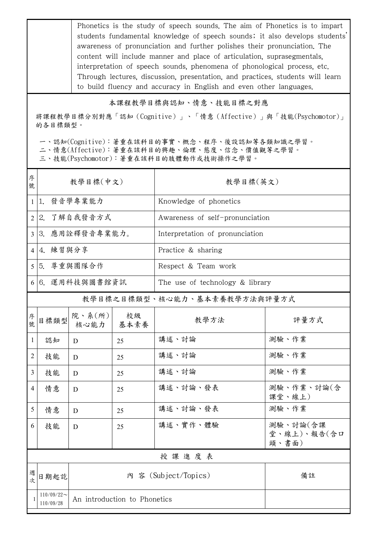Phonetics is the study of speech sounds. The aim of Phonetics is to impart students fundamental knowledge of speech sounds; it also develops students' awareness of pronunciation and further polishes their pronunciation. The content will include manner and place of articulation, suprasegmentals, interpretation of speech sounds, phenomena of phonological process, etc. Through lectures, discussion, presentation, and practices, students will learn to build fluency and accuracy in English and even other languages.

## 本課程教學目標與認知、情意、技能目標之對應

將課程教學目標分別對應「認知(Cognitive)」、「情意(Affective)」與「技能(Psychomotor)」 的各目標類型。

一、認知(Cognitive):著重在該科目的事實、概念、程序、後設認知等各類知識之學習。

二、情意(Affective):著重在該科目的興趣、倫理、態度、信念、價值觀等之學習。

三、技能(Psychomotor):著重在該科目的肢體動作或技術操作之學習。

| 序<br>號         | 教學目標(中文)                                                   |                |            | 教學目標(英文)                        |                                  |  |  |
|----------------|------------------------------------------------------------|----------------|------------|---------------------------------|----------------------------------|--|--|
|                | 1 1. 發音學專業能力                                               |                |            | Knowledge of phonetics          |                                  |  |  |
|                | 2 2. 了解自我發音方式                                              |                |            | Awareness of self-pronunciation |                                  |  |  |
| 3 <sup>1</sup> | 3. 應用詮釋發音專業能力。                                             |                |            | Interpretation of pronunciation |                                  |  |  |
|                | 4 4. 練習與分享                                                 |                |            | Practice & sharing              |                                  |  |  |
|                | 5 5. 尊重與團隊合作                                               |                |            | Respect & Team work             |                                  |  |  |
|                | 6 6. 運用科技與圖書館資訊                                            |                |            | The use of technology & library |                                  |  |  |
|                |                                                            |                |            | 教學目標之目標類型、核心能力、基本素養教學方法與評量方式    |                                  |  |  |
| 序號             | 目標類型                                                       | 院、系(所)<br>核心能力 | 校級<br>基本素養 | 教學方法                            | 評量方式                             |  |  |
| $\mathbf{1}$   | 認知                                                         | D              | 25         | 講述、討論                           | 測驗、作業                            |  |  |
| 2              | 技能                                                         | D              | 25         | 講述、討論                           | 測驗、作業                            |  |  |
| 3              | 技能                                                         | D              | 25         | 講述、討論                           | 測驗、作業                            |  |  |
| 4              | 情意                                                         | D              | 25         | 講述、討論、發表                        | 測驗、作業、討論(含<br>課堂、線上)             |  |  |
| 5              | 情意                                                         | D              | 25         | 講述、討論、發表                        | 測驗、作業                            |  |  |
| 6              | 技能                                                         | D              | 25         | 講述、實作、體驗                        | 測驗、討論(含課<br>堂、線上)、報告(含口<br>頭、書面) |  |  |
|                | 授課進度表                                                      |                |            |                                 |                                  |  |  |
| 週次             | 日期起訖                                                       |                |            | 內 容 (Subject/Topics)            | 備註                               |  |  |
|                | $110/09/22$ ~<br>An introduction to Phonetics<br>110/09/28 |                |            |                                 |                                  |  |  |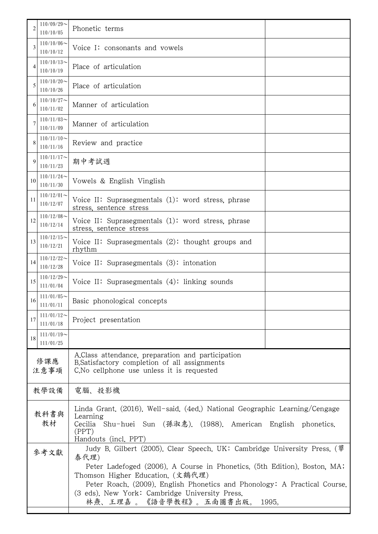| 2           | $110/09/29$ ~<br>110/10/05    | Phonetic terms                                                                                                                                                                                                                                                                   |  |  |  |
|-------------|-------------------------------|----------------------------------------------------------------------------------------------------------------------------------------------------------------------------------------------------------------------------------------------------------------------------------|--|--|--|
| 3           | $110/10/06 \sim$<br>110/10/12 | Voice I: consonants and vowels                                                                                                                                                                                                                                                   |  |  |  |
| 4           | $110/10/13$ ~<br>110/10/19    | Place of articulation                                                                                                                                                                                                                                                            |  |  |  |
| 5           | $110/10/20$ ~<br>110/10/26    | Place of articulation                                                                                                                                                                                                                                                            |  |  |  |
| 6           | $110/10/27$ ~<br>110/11/02    | Manner of articulation                                                                                                                                                                                                                                                           |  |  |  |
| 7           | $110/11/03$ ~<br>110/11/09    | Manner of articulation                                                                                                                                                                                                                                                           |  |  |  |
| 8           | $110/11/10$ ~<br>110/11/16    | Review and practice                                                                                                                                                                                                                                                              |  |  |  |
| 9           | $110/11/17$ ~<br>110/11/23    | 期中考試週                                                                                                                                                                                                                                                                            |  |  |  |
| 10          | $110/11/24$ ~<br>110/11/30    | Vowels & English Vinglish                                                                                                                                                                                                                                                        |  |  |  |
| 11          | $110/12/01$ ~<br>110/12/07    | Voice II: Suprasegmentals (1): word stress, phrase<br>stress, sentence stress                                                                                                                                                                                                    |  |  |  |
| 12          | $110/12/08$ ~<br>110/12/14    | Voice II: Suprasegmentals (1): word stress, phrase<br>stress, sentence stress                                                                                                                                                                                                    |  |  |  |
| 13          | $110/12/15$ ~<br>110/12/21    | Voice II: Suprasegmentals $(2)$ : thought groups and<br>rhythm                                                                                                                                                                                                                   |  |  |  |
| 14          | $110/12/22$ ~<br>110/12/28    | Voice II: Suprasegmentals $(3)$ : intonation                                                                                                                                                                                                                                     |  |  |  |
| 15          | $110/12/29$ ~<br>111/01/04    | Voice II: Suprasegmentals $(4)$ : linking sounds                                                                                                                                                                                                                                 |  |  |  |
| 16          | $111/01/05$ ~<br>111/01/11    | Basic phonological concepts                                                                                                                                                                                                                                                      |  |  |  |
| 17          | $111/01/12$ ~<br>111/01/18    | Project presentation                                                                                                                                                                                                                                                             |  |  |  |
| 18          | $111/01/19$ ~<br>111/01/25    |                                                                                                                                                                                                                                                                                  |  |  |  |
| 修課應<br>注意事項 |                               | A.Class attendance, preparation and participation<br>B. Satisfactory completion of all assignments<br>C. No cellphone use unless it is requested                                                                                                                                 |  |  |  |
|             | 教學設備                          | 電腦、投影機                                                                                                                                                                                                                                                                           |  |  |  |
| 教科書與<br>教材  |                               | Linda Grant. (2016). Well-said. (4ed.) National Geographic Learning/Cengage<br>Learning<br>Shu-huei Sun (孫淑惠). (1988). American English phonetics.<br>Cecilia<br>(PPT)<br>Handouts (incl. PPT)                                                                                   |  |  |  |
| 參考文獻        |                               | Judy B. Gilbert (2005). Clear Speech. UK: Cambridge University Press. (華<br>泰代理)                                                                                                                                                                                                 |  |  |  |
|             |                               | Peter Ladefoged (2006). A Course in Phonetics. (5th Edition). Boston, MA;<br>Thomson Higher Education. (文鶴代理)<br>Peter Roach. (2009). English Phonetics and Phonology: A Practical Course.<br>(3 eds). New York: Cambridge University Press.<br>林燾、王理嘉 。《語音學教程》。五南圖書出版。<br>1995. |  |  |  |